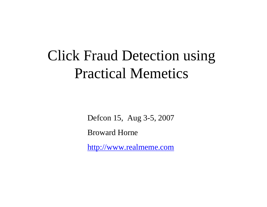## Click Fraud Detection using Practical Memetics

Defcon 15, Aug 3-5, 2007

Broward Horne

[http://www.realmeme.com](http://www.realmeme.com/)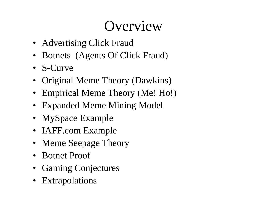## **Overview**

- Advertising Click Fraud
- Botnets (Agents Of Click Fraud)
- S-Curve
- Original Meme Theory (Dawkins)
- Empirical Meme Theory (Me! Ho!)
- Expanded Meme Mining Model
- MySpace Example
- IAFF.com Example
- Meme Seepage Theory
- Botnet Proof
- Gaming Conjectures
- Extrapolations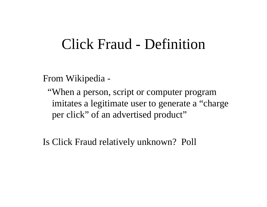#### Click Fraud - Definition

From Wikipedia -

"When a person, script or computer program imitates a legitimate user to generate a "charge per click" of an advertised product"

Is Click Fraud relatively unknown? Poll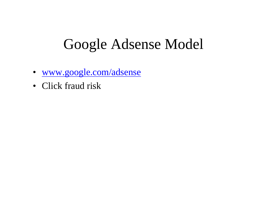## Google Adsense Model

- www.goog[le.com/adsense](http://www.google.com/adsense)
- Click fraud risk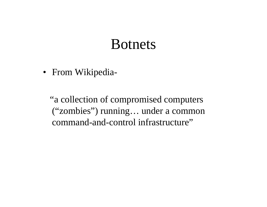#### Botnets

• From Wikipedia-

"a collection of compromised computers ("zombies") running… under a common command-and-control infrastructure"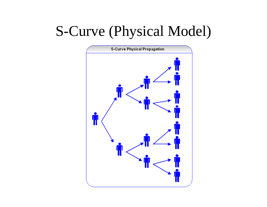## S-Curve (Physical Model)

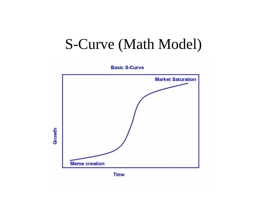#### S-Curve (Math Model)

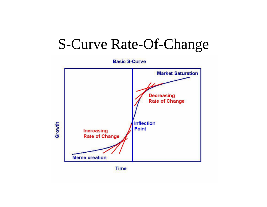#### S-Curve Rate-Of-Change

**Basic S-Curve Market Saturation Decreasing Rate of Change Inflection** Growth Point **Increasing Rate of Change Meme creation** 

**Time**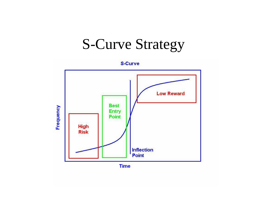## S-Curve Strategy

**S-Curve** 



**Time**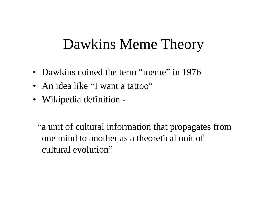## Dawkins Meme Theory

- Dawkins coined the term "meme" in 1976
- An idea like "I want a tattoo"
- Wikipedia definition -

"a unit of cultural information that propagates from one mind to another as a theoretical unit of cultural evolution"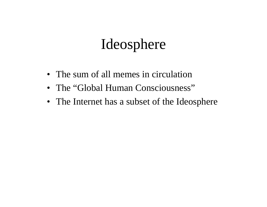## Ideosphere

- The sum of all memes in circulation
- The "Global Human Consciousness"
- The Internet has a subset of the Ideosphere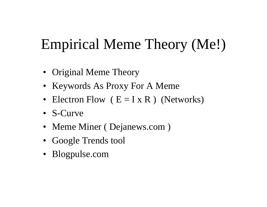## Empirical Meme Theory (Me!)

- Original Meme Theory
- Keywords As Proxy For A Meme
- Electron Flow  $(E = I \times R)$  (Networks)
- S-Curve
- Meme Miner (Dejanews.com)
- Google Trends tool
- Blogpulse.com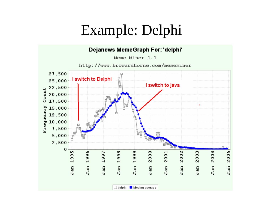## Example: Delphi

#### Dejanews MemeGraph For: 'delphi'

Meme Miner 1.1

http://www.browardhorne.com/mememiner

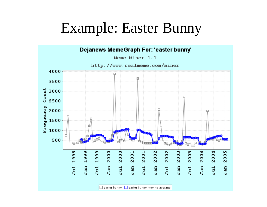### Example: Easter Bunny

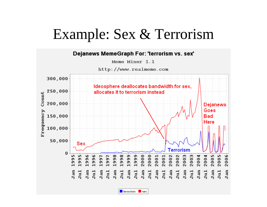#### Example: Sex & Terrorism

#### Dejanews MemeGraph For: 'terrorism vs. sex'

Meme Miner 1.1



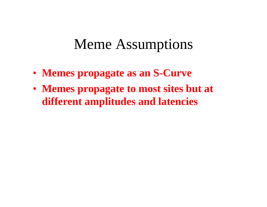#### Meme Assumptions

- **Memes propagate as an S-Curve**
- **Memes propagate to most sites but at different amplitudes and latencies**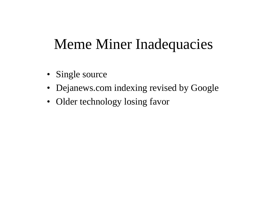## Meme Miner Inadequacies

- Single source
- Dejanews.com indexing revised by Google
- Older technology losing favor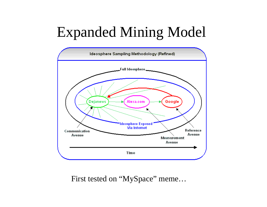## Expanded Mining Model



First tested on "MySpace" meme...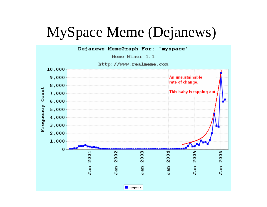## MySpace Meme (Dejanews)

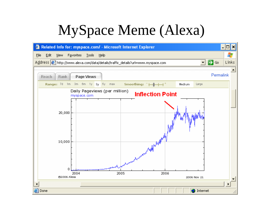## MySpace Meme (Alexa)

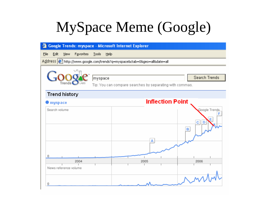## MySpace Meme (Google)

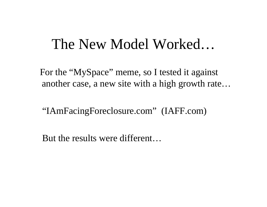#### The New Model Worked…

For the "MySpace" meme, so I tested it against another case, a new site with a high growth rate…

"IAmFacingForeclosure.com" (IAFF.com)

But the results were different…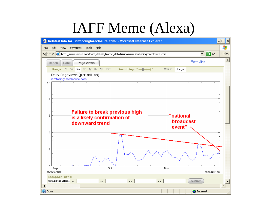## IAFF Meme (Alexa)

| –  □ ×<br>Related Info for: iamfacingforeclosure.com/ - Microsoft Internet Explorer<br>G)                                       |                       |                  |  |  |  |  |  |  |
|---------------------------------------------------------------------------------------------------------------------------------|-----------------------|------------------|--|--|--|--|--|--|
| Æ<br>Eile<br>Edit<br><b>View</b><br>Favorites<br><b>Tools</b><br>Help                                                           |                       |                  |  |  |  |  |  |  |
| Address <sup>8</sup> http://www.alexa.com/data/details/traffic_details?url=www.iamfacingforeclosure.com                         | $\Rightarrow$ Go<br>▾ | Links            |  |  |  |  |  |  |
| Permalink<br>Page Views<br>Reach<br>Rank                                                                                        |                       | $\blacktriangle$ |  |  |  |  |  |  |
| Range: 7d 1m 3m 6m 1y 3y 5y max<br>Smoothing: $\overline{+}\overline{+}\overline{+}\overline{+}\overline{+}$<br>Medium<br>Large |                       |                  |  |  |  |  |  |  |
| Daily Pageviews (per million)<br>iamfacingforeclosure.com                                                                       |                       |                  |  |  |  |  |  |  |
| 10                                                                                                                              |                       |                  |  |  |  |  |  |  |
|                                                                                                                                 |                       |                  |  |  |  |  |  |  |
| 8                                                                                                                               |                       |                  |  |  |  |  |  |  |
|                                                                                                                                 |                       |                  |  |  |  |  |  |  |
| <b>Failure to break previous high</b>                                                                                           |                       |                  |  |  |  |  |  |  |
| "national<br>6<br>is a likely confirmation of                                                                                   |                       |                  |  |  |  |  |  |  |
| <b>broadcast</b><br>downward trend                                                                                              |                       |                  |  |  |  |  |  |  |
| event"<br>4                                                                                                                     |                       |                  |  |  |  |  |  |  |
|                                                                                                                                 |                       |                  |  |  |  |  |  |  |
|                                                                                                                                 |                       |                  |  |  |  |  |  |  |
| 2                                                                                                                               |                       |                  |  |  |  |  |  |  |
|                                                                                                                                 |                       |                  |  |  |  |  |  |  |
| 0                                                                                                                               |                       |                  |  |  |  |  |  |  |
| Oct<br>Nov<br>Sep<br>@2006 Alexa                                                                                                | 2006 Nov 30           |                  |  |  |  |  |  |  |
| <b>Compare sites:</b>                                                                                                           |                       |                  |  |  |  |  |  |  |
| www.iamfacingforec vs.<br>Submit<br>VS.<br>vs.<br>vs.                                                                           |                       |                  |  |  |  |  |  |  |
| <b>B</b> Done                                                                                                                   | <b>O</b> Internet     |                  |  |  |  |  |  |  |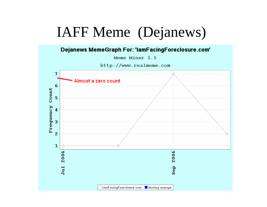## IAFF Meme (Dejanews)

Dejanews MemeGraph For: 'lamFacingForeclosure.com'

Meme Miner 1.1

http://www.realmeme.com

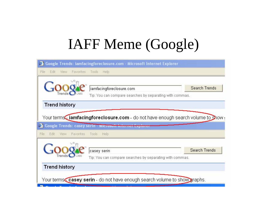## IAFF Meme (Google)

| œ1                                                                        | Google Trends: iamfacingforeclosure.com - Microsoft Internet Explorer                                                                      |                      |
|---------------------------------------------------------------------------|--------------------------------------------------------------------------------------------------------------------------------------------|----------------------|
| File<br>Edit<br>Favorites<br>View.                                        | Tools<br>Help                                                                                                                              |                      |
|                                                                           | iamfacingforeclosure.com<br>Tip: You can compare searches by separating with commas.                                                       | <b>Search Trends</b> |
| <b>Trend history</b>                                                      |                                                                                                                                            |                      |
| œ1                                                                        | Your terms iamfacingforeclosure.com - do not have enough search volume to Show<br>Google Trends: casey serin - Microsoft internet Explorer |                      |
| Edit<br>File<br>Favorites<br>View.                                        | Tools<br>Help                                                                                                                              |                      |
|                                                                           | casey serin<br>Tip: You can compare searches by separating with commas.                                                                    | <b>Search Trends</b> |
| <b>Trend history</b>                                                      |                                                                                                                                            |                      |
| Your terms casey serin - do not have enough search volume to show graphs. |                                                                                                                                            |                      |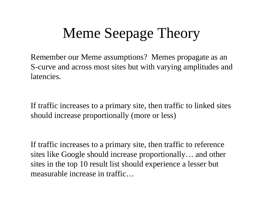## Meme Seepage Theory

Remember our Meme assumptions? Memes propagate as an S-curve and across most sites but with varying amplitudes and latencies.

If traffic increases to a primary site, then traffic to linked sites should increase proportionally (more or less)

If traffic increases to a primary site, then traffic to reference sites like Google should increase proportionally… and other sites in the top 10 result list should experience a lesser but measurable increase in traffic…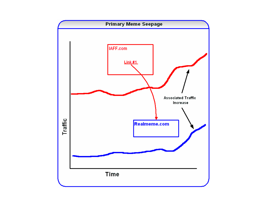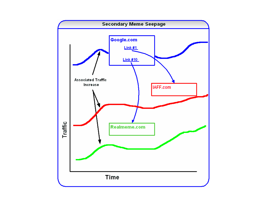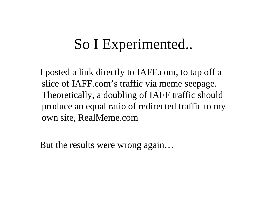## So I Experimented..

I posted a link directly to IAFF.com, to tap off a slice of IAFF.com's traffic via meme seepage. Theoretically, a doubling of IAFF traffic should produce an equal ratio of redirected traffic to my own site, RealMeme.com

But the results were wrong again…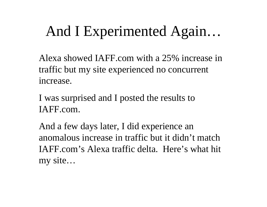## And I Experimented Again…

Alexa showed IAFF.com with a 25% increase in traffic but my site experienced no concurrent increase.

I was surprised and I posted the results to IAFF.com.

And a few days later, I did experience an anomalous increase in traffic but it didn't match IAFF.com's Alexa traffic delta. Here's what hit my site…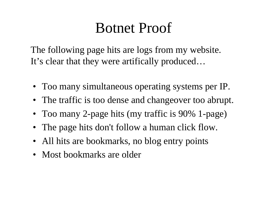## Botnet Proof

The following page hits are logs from my website. It's clear that they were artifically produced…

- Too many simultaneous operating systems per IP.
- The traffic is too dense and changeover too abrupt.
- Too many 2-page hits (my traffic is 90% 1-page)
- The page hits don't follow a human click flow.
- All hits are bookmarks, no blog entry points
- Most bookmarks are older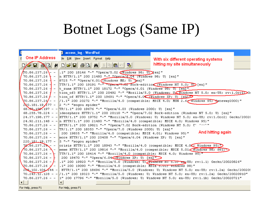## Botnet Logs (Same IP)

|                                | access_log - WordPad                                                                                                                                                                                                                     |                                                                                                                                    |  |  |  |  |  |
|--------------------------------|------------------------------------------------------------------------------------------------------------------------------------------------------------------------------------------------------------------------------------------|------------------------------------------------------------------------------------------------------------------------------------|--|--|--|--|--|
| One IP Address                 | jle Edit View Insert Format Help                                                                                                                                                                                                         | With six different operating systems                                                                                               |  |  |  |  |  |
| a da big                       | $ \mathbf{F}_\Theta $                                                                                                                                                                                                                    | hitting my site simultaneously                                                                                                     |  |  |  |  |  |
| $70.86.237.26$ + -             | $/2$ 0.86.237.26\- - .1" 200 18146 "-" "Opera/5.02 (Uindows 98, U) [en]"                                                                                                                                                                 |                                                                                                                                    |  |  |  |  |  |
| $70.86.237.26$ $\uparrow$ -    | n HTTP/1.1" 200 21480 "-" "Opera/6.04 (Windows 98; U) [en]"<br>8725 "-" "Opera/6.01 (Windows ME; U) pen]"                                                                                                                                |                                                                                                                                    |  |  |  |  |  |
| $70.86.237.26$ -               | TTP/1.1" 200 19191 "-"Opera/7.0Z Bork-edition (Windows NT 5.0; Up [en]"                                                                                                                                                                  |                                                                                                                                    |  |  |  |  |  |
| $70.86.237.26$ -               | t zune HTTP/1.1" 200 18172 "-" "Opera/6.01 (Windows 98; U) [en]"                                                                                                                                                                         |                                                                                                                                    |  |  |  |  |  |
|                                |                                                                                                                                                                                                                                          | 70.86.237.26 $\frac{1}{2}$ - tion of3 HTTP/1.1" 200 20492 "-" "Mozilla/5.0 (Windows; UC Windows NT 5.0; en-US; rv:1.0rcl $\sum$ Ge |  |  |  |  |  |
|                                | 70.86.237.26 $\angle$ - tion of HTTP/1.1" 200 19691 "-" "Opera/6.0 (Ulindows XP; U) [en]                                                                                                                                                 |                                                                                                                                    |  |  |  |  |  |
|                                | $0.86.237.26$ - $\ /1.1$ " 200 20272 "-" "Mozilla/4.0 (compatible; MSIE 4.0; MSN 2.6 $\sqrt{$ Uindows 95; Sateway2000)"                                                                                                                  |                                                                                                                                    |  |  |  |  |  |
|                                | $20.181.19$ 177 - 2 "-" "sogou spider"                                                                                                                                                                                                   |                                                                                                                                    |  |  |  |  |  |
|                                | 68.98.198.197 - - TP/1.1" 200 19676 "-" "Opera/6.03 (Windows 2000; U) [en]"                                                                                                                                                              |                                                                                                                                    |  |  |  |  |  |
|                                | 68.255.78.224 - - ideosphere HTTP/1.1" 200 20110 "-" "Opera/7.02 Bork-edition (Windows NT 5.0; U) [en]"                                                                                                                                  |                                                                                                                                    |  |  |  |  |  |
|                                |                                                                                                                                                                                                                                          | 24.37.198.177 - - HTTP/1.1" 200 19752 "-" "Mozilla/5.0 (Windows; U; Windows NT 5.0; en-US; rv:1.0rc2) Gecko/2002(                  |  |  |  |  |  |
|                                | 24.92.211.148 - - n HTTP/1.1" 200 21480 "-" "Mozilla/4.0 (compatible; MSIE 4.0; Windows 95)"                                                                                                                                             |                                                                                                                                    |  |  |  |  |  |
|                                | 70.86.237.26 - - HHTTP/1.1" 200 19821 "-" "Opera/7.02 Bork-edition (Windows NT 5.0; U' '--'"                                                                                                                                             |                                                                                                                                    |  |  |  |  |  |
|                                | 70.86.237.26 - - TP/1.1" 200 18353 "-" "Opera/7.0 (Windows 2000; U) [en]"                                                                                                                                                                |                                                                                                                                    |  |  |  |  |  |
|                                | 70.86.237.26 - -    200 19835 "-" "Mozilla/4.0 (compatible; MSIE 4.01; Windows 95)"                                                                                                                                                      | And hitting again                                                                                                                  |  |  |  |  |  |
|                                | 70.86.237.26 - - $\lVert \text{more HTTP/1.1" 200 20408 "–" "Opera/6.04 (Windows XP; U) [en]"$                                                                                                                                           |                                                                                                                                    |  |  |  |  |  |
|                                | 220.181.19.177 - 5 "-" "sogou spider"                                                                                                                                                                                                    |                                                                                                                                    |  |  |  |  |  |
| $72.86.237.20 - -$             | crisis HTTP/1.1" 200 18943 "-" "Mozilla/4.0 (compatible; MSIE 4.0C: Windows 95) $\triangleright$                                                                                                                                         |                                                                                                                                    |  |  |  |  |  |
| $70.86.237.26$ $\rightarrow$ - | meme HTTP/1.1" 200 19816 "-" "Mozilla/4.0 (compatible; MSIE 5.01 $\sqrt{3}$ ndows 98; 981)                                                                                                                                               |                                                                                                                                    |  |  |  |  |  |
|                                | 70.86.237.26 - $\leftarrow$ TTP/1.1" 200 18414 "-" "Mozilla/4.0 (compatible; MSIE 4.0; Windows 95)"                                                                                                                                      |                                                                                                                                    |  |  |  |  |  |
|                                | 70.86.237.26 - $\vdash$ 200 18470 "-" "Opera/6.04 $\Box$ undows XP; U) [en]"                                                                                                                                                             |                                                                                                                                    |  |  |  |  |  |
|                                | Windows; U; <del>Mindows NT 5.0; em.</del> US; rv:1.1) Gecko/20020826" ("Mozilla/5.0 (Windows; U; <del>Mindows NT 5.0; em.</del> US; rv:1.1) Gecko/20020826"                                                                             |                                                                                                                                    |  |  |  |  |  |
|                                | V0.86.237.26 ✔ - ∥.1″200 19090 ″-″ "Mozilla/4.0 (compatible; MSIE 5.UI; windows 98)"                                                                                                                                                     |                                                                                                                                    |  |  |  |  |  |
|                                | 208.102.106 244 - HTTP/1.1" 200 18696 "-" "Mozilla/5.0 (Windows; U; Windows NT 5.0; en-US; rv:1.2a) Gecko/200209<br>70.243.12.128 - - $\ $ /1.1" 200 19323 "-" "Mozilla/5.0 (Windows; U; Windows NT 5.0; en-US; rv:1.2a) Gecko/20020910" |                                                                                                                                    |  |  |  |  |  |
|                                | 70.86.237.26 - - 1" 200 17796 "-" "Mozilla/5.0 (Windows; U; Windows NT 5.0; en-US; rv:1.1b) Gecko/20020721"                                                                                                                              |                                                                                                                                    |  |  |  |  |  |
| $\leftarrow$                   |                                                                                                                                                                                                                                          |                                                                                                                                    |  |  |  |  |  |
|                                |                                                                                                                                                                                                                                          |                                                                                                                                    |  |  |  |  |  |
| For Help, press F1             | For Help, press F1                                                                                                                                                                                                                       |                                                                                                                                    |  |  |  |  |  |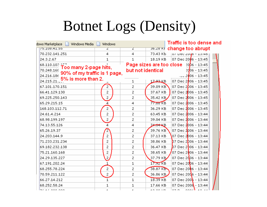## Botnet Logs (Density)

| dows Marketplace <b>Number 1</b> Windows Media |  | Windows        |                |                              | Traffic is too dense and                |  |
|------------------------------------------------|--|----------------|----------------|------------------------------|-----------------------------------------|--|
| 75.108.41.55                                   |  | Ζ              | Ζ              |                              | उक्तटकारई change too abrupt             |  |
| 70.232.141.251                                 |  | 4              | 4              | 73.43 KB                     | July Dec 2000 - 13:46                   |  |
| 24.3.2.67                                      |  | 1              | 1.             |                              | 18.19 KB   07 Dec 2006 - 13:45          |  |
| $68.110.103$ $\uparrow$ $\uparrow$ $\uparrow$  |  |                |                |                              | Page sizes are too close $20p6 - 13:45$ |  |
| Too many 2-page hits,<br>70.248.168            |  |                |                | but not identical            | $2006 - 13:45$                          |  |
| 90% of my traffic is 1 page,<br>24.216.186     |  |                |                |                              | $100.2006 - 13345$                      |  |
| 24.215.21 5% is more than 2.                   |  |                | 1              | 17.93 KB                     | 07 Dec 2006 - 13:45                     |  |
| 67.101.170.151                                 |  | $\overline{2}$ | 2              | 39.09 KB                     | 07 Dec 2006 - 13:45                     |  |
| 66.41.129.130                                  |  | 2              | 2              | 37.67 KB                     | 07 Dec 2006 - 13:45                     |  |
| 69.225.250.143                                 |  | 2              | $\overline{c}$ | 35.42 KB                     | 07 Dec 2006 - 13:45                     |  |
| 65.29.215.15                                   |  | 4              | 4              | $77.88$ KB                   | 07 Dec 2006 - 13:45                     |  |
| 168.103.112.71                                 |  | 2              | 2              | 36.29 KB                     | 07 Dec 2006 - 13:45                     |  |
| 24,61,4,214                                    |  | 2              | 2              | 63.45 KB                     | 07 Dec 2006 - 13:44                     |  |
| 68.98.199.197                                  |  | 2              | 2              | 39.04 KB                     | 07 Dec 2006 - 13:44                     |  |
| 74.13.55.126                                   |  | 4              | 4              | 24 <del>.04</del> KB         | 07 Dec 2006 - 13:44                     |  |
| 65.26.19.37                                    |  | 2              | 2              | 39.76 KB                     | 07 Dec 2006 - 13:44                     |  |
| 24.203.144.9                                   |  | 2              | $\overline{c}$ | 37.13 KB                     | 07 Dec 2 <mark>006 - 13:44</mark>       |  |
| 71,233,231,234                                 |  | 2              | $\overline{c}$ | 38.86 KB                     | $D7$ Dec 2 $D06 - 13:44$                |  |
| 69.182.232.138                                 |  | 2              | 2              | 36.47 KB                     | $D7$ Dec 2006 - 13:44                   |  |
| 75.21.160.168                                  |  | 2              | 2              | 38.65 KB                     | 107 Dec 2006 - 13:44                    |  |
| 24.29.135.227                                  |  | 2              | $\overline{c}$ | 37.79 KB                     | 07 Dec $2006 - 13:44$                   |  |
| 67.191.202.24                                  |  | 1              | 1              | $17.92$ KB                   | 07 Dec 2006 - 13:44                     |  |
| 68.255.78.224                                  |  | 2              | 2              | 38.87 KB                     | 07 Dec 2006 - 13:44                     |  |
| 70.59.211.122                                  |  | 2              | 2              | 36.86 KB                     | 07 Dec 2006 - 13:44                     |  |
| 66.27.14.212                                   |  |                | $\mathbf{1}$   | $18.39$ KB                   | 07 Dec 200 <mark>6 - 1</mark> 3:44      |  |
| 68.252.58.24                                   |  | 1              | 1              | 17.66 KB                     | 07 Dec 200 $\frac{1}{2}$ - 13:44        |  |
| コイ チイ へへへ へへへ                                  |  |                |                | $\sim$ 0.0 $\sim$ 0.0 $\sim$ | يباهد الممممات والجما                   |  |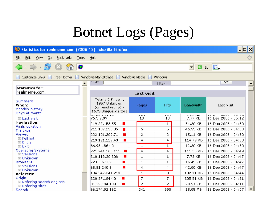## Botnet Logs (Pages)

| - 미×<br>Statistics for realmeme.com (2006-12) - Mozilla Firefox                           |                                                                              |                |                |                               |                               |  |  |  |
|-------------------------------------------------------------------------------------------|------------------------------------------------------------------------------|----------------|----------------|-------------------------------|-------------------------------|--|--|--|
| Edit<br>Bookmarks<br><b>Tools</b><br>View<br>$\mathsf{G}$ o<br>Eile                       | Help                                                                         |                |                |                               | ं                             |  |  |  |
| ۰                                                                                         |                                                                              |                |                | $\overline{\phantom{a}}$<br>0 | $\overline{G}$ $\overline{G}$ |  |  |  |
| Free Hotmail Nindows Marketplace<br>Windows Media<br>Windows<br>Customize Links<br>H<br>Ħ |                                                                              |                |                |                               |                               |  |  |  |
|                                                                                           | $r$ nter : $\vert$                                                           |                | filter:        |                               | <b>UK</b>                     |  |  |  |
| <b>Statistics for:</b><br>realmeme.com                                                    |                                                                              | Last visit     |                |                               |                               |  |  |  |
| Summary<br>When:<br>Monthly history<br>Days of month                                      | Total: 0 Known,<br>1957 Unknown<br>(unresolved ip) -<br>1675 Unique visitors | Pages          | <b>Hits</b>    | <b>Bandwidth</b>              | Last visit                    |  |  |  |
| 国 Last visit                                                                              | -- - - - - -<br>76.3.9.99                                                    | $-$<br>13      | $-$<br>13      | o ee aan<br>7.77 KB           | 16 Dec 2006 - 05:12           |  |  |  |
| Navigation:                                                                               | 219.27.152.55<br>$\mathcal{L}_{\mathcal{A}}$                                 | 1              | 1              | 54.20 KB                      | 16 Dec 2006 - 04:50           |  |  |  |
| Visits duration<br>File type                                                              | 211.107.250.35<br>$\blacksquare$                                             | 5              | 5.             | 46.55 KB                      | 16 Dec 2006 - 04:50           |  |  |  |
| Viewed                                                                                    | 222.101.209.71<br>ш                                                          | 2              | 2              | 15.11 KB                      | 16 Dec 2006 - 04:50           |  |  |  |
| 国 Full list<br>国 Entry                                                                    | 219.121.119.43<br>$\mathbf{r}$                                               | 4              | 4              | 114.79 KB                     | 16 Dec 2006 - 04:50           |  |  |  |
| 国 Exit                                                                                    | 66.98.186.40                                                                 | 1              | 1              | 12.20 KB                      | 16 Dec 2006 - 04:50           |  |  |  |
| Operating Systems                                                                         | 221.241.160.111<br>$\mathbf{r}$                                              | 4              | $\overline{4}$ | 111.35 KB                     | 16 Dec 2006 - 04:49           |  |  |  |
| $\boxplus$ Versions<br>国 Unknown                                                          | 210.113.30.208<br>ш                                                          | 1              | 1              | 7.73 KB                       | 16 Dec 2006 - 04:47           |  |  |  |
| <b>Browsers</b>                                                                           | 72.8.86.169<br>$\mathcal{L}_{\mathcal{A}}$                                   | 1              | 1              | 16.45 KB                      | 16 Dec 2006 - 04:47           |  |  |  |
| $\boxplus$ Versions                                                                       | 68.81.240.5<br>$\blacksquare$                                                | 4              | 4              | 42.00 KB                      | 16 Dec 2006 - 04:47           |  |  |  |
| 国 Unknown<br>Referers:                                                                    | 194.247.241.213                                                              | 1              | 8.             | 102.11 KB                     | 16 Dec 2006 - 04:44           |  |  |  |
| Origin                                                                                    | 220.37.184.40<br>$\mathcal{L}_{\mathcal{A}}$                                 | $\overline{7}$ | 7              | 205.51 KB                     | 16 Dec 2006 - 04:31           |  |  |  |
| <b>El Refering search engines</b>                                                         | 81.29.194.189<br>$\mathbf{r}$                                                | 2              | 2              | 29.57 KB                      | 16 Dec 2006 - 04:11           |  |  |  |
| $\blacksquare$ Refering sites<br><b>Search</b>                                            | 66.174.92.162                                                                | 341            | 990            | 15.05 MB                      | 16 Dec 2006 - 04:07           |  |  |  |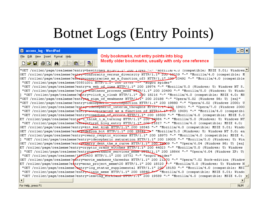## Botnet Logs (Entry Points)

#### $\Box$   $\times$ access log - WordPad Only bookmarks, not entry points into blog File Edit View Insert Format Help Mostly older bookmarks, usually with only one reference  $D$  $E$   $E$   $B$  $R$ [图图] の  $\mathbb{F}_{\mathbf{p}}$ 44 "GET /roller/page/realmeme?entry=bewitched HIIP/I.I" ZUU I7845 "-" "MOZIIIa/4.U (compatible; MSIE 5.01; Windows GET /roller/page/realmeme?entry=conformity versus diversity HTTP/1.1" 200-19339 "-" "Mozilla/4.0 (compatible; M GET /roller/page/realmeme?enexy=conspiracies as a function of3 HTTP/1.1" 200 20492 "-" "Mozilla/4.0 (compatible "GET /roller/page/realmeme/03831031 HTTP/1.1" ZUU 15755 "-" "sogou spider" "GET /roller/page/realmeme?entry=a web of lies HTTP/1.1" 200 19974 "-" "Mozilla/5.0 (Windows; U; Windows NT 5. "GET /roller/page/realmeme?entry-business process meme HETP/1.1" 200 20490 "-" "Mozilla/5.0 (Windows; U; Windo "GET /roller/page/realmeme?entry=click n cloak HTTP/1.1" 200 18216 "-" "Mozilla/4.0 (compatible; MSIE 4.0; MS "GET /roller/page/realmeme?entrea sign of weakness HTTP/1/1" 200 20188 "-" "Opera/5.02 (Windows 98; U) [en]" "GET /roller/page/realmeme?entry=ideospneric introspection HTTP/1.1" 200 19880 "-" "Opera/6.02 (Windows 2000; U "GET /roller/page/realmeme?entry=ideospheric interim thoughts HTTP/1.1"-200 19431 "-" "Opera/7.0 (Windows 2000 "GET /roller/page/realmeme?entry=canspiracies as a function of HTTP/1,1"-ZUO 19691 "-" "Mozilla/4.0 (compatibl "GET /roller/page/realmeme?entry=comedies of errors HTTP/1.1" 200 18500 "-" "Mozilla/4.0 (compatible: MSIE 5.0 ET /roller/page/realmeme?entry=1 think i m turning HTTP/1.1" 200 19984 "-" "Mozilla/5.0 (Windows; U; Windows NT "GET /roller/page/realmeme?enesy=first blog entry HTTP/1.1" 200-21817 "-" "Mozilla/4.0 (compatible; MSIE 4.0; GET /roller/page/realmeme?entry=kit kat klub HTTP/1.1" 200 18545 "-" "Mozilla/4.0 (compatible; MSIE 5.01; Windo "Wozilla/5.0 (Windows; U; Windows NT 5.0; en "Get") (CET") (Windows; U; Windows NT 5.0; en "GET") (Windows") (GET") GET /roller/page/realmeme?entry=cwazy cwyptic wiccans HTTP/1.1" 200 18973 "-" "Mozilla/4.0 (compatible; MSIE 4. "GET /roller/page/realmeme?entry=ideospheric saturation HTTP/1.1" 200 19005 "-" "Mozilla/5.0 (Windows; U; Win GET /roller/page/realmeme?entey=harry dent the s curve HTTP/1.1" 200 19909 "-" "Opera/6.04 (Windows 98; U) [en] ET /roller/page/realmeme?entry=cryptic crazy witches HTTP/1.1" 200 44023 "-" "Mozilla/5.0 (Windows; U; Windows "GET /roller/page/realmeme?entry=gevernance services meme HFTP/1.1" 200 18866 "-" "Opera/6.04 (Windows XP; U) "GET /roller/page/realmeme/14730430 HTTP/1.1" 200 15732 "-" "sogou baider" GET /roller/page/realmeme?entry=movie madness threedux HTTP/1.1" 200 21270 "-" "Opera/7.02 Bork-edition (Window ET /roller/page/realmeme?entry=mono project meme%20 HTTP/1.1" 200 18320 7-" "Mozilla/5.0 (Windows; U; Windows N "GET /roller/page/realmeme?entry=log status supplemental HTTP/1.1" 200 18150 "-" "Mozilla/4.0 (compatible; MSI "GET /roller/page/realmeme?entry=linux meme HTTP/1.1" 200 18840 "Mozilla/4.0 (compatible; MSIE 5.01; Windo "GET /roller/page/realmeme?entry=leaving Kirkiand HTTP/I.1" 200 19589 "-" "Mozilla/4.0 (compatible; MSIE 4.0;  $\overline{\mathbf{A}}$ For Help, press F1 **NUM**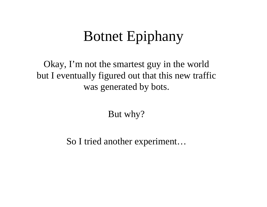## Botnet Epiphany

Okay, I'm not the smartest guy in the world but I eventually figured out that this new traffic was generated by bots.

But why?

So I tried another experiment…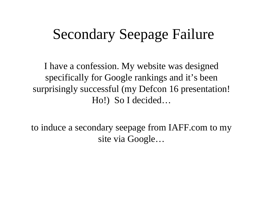## Secondary Seepage Failure

I have a confession. My website was designed specifically for Google rankings and it's been surprisingly successful (my Defcon 16 presentation! Ho!) So I decided…

to induce a secondary seepage from IAFF.com to my site via Google…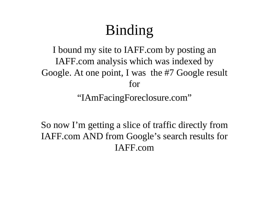# Binding

I bound my site to IAFF.com by posting an IAFF.com analysis which was indexed by Google. At one point, I was the #7 Google result for

"IAmFacingForeclosure.com"

So now I'm getting a slice of traffic directly from IAFF.com AND from Google's search results for IAFF.com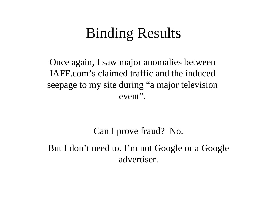## Binding Results

Once again, I saw major anomalies between IAFF.com's claimed traffic and the induced seepage to my site during "a major television event".

Can I prove fraud? No. But I don't need to. I'm not Google or a Google advertiser.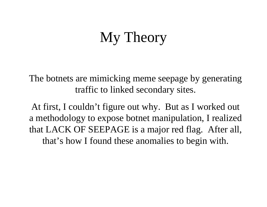## My Theory

The botnets are mimicking meme seepage by generating traffic to linked secondary sites.

At first, I couldn't figure out why. But as I worked out a methodology to expose botnet manipulation, I realized that LACK OF SEEPAGE is a major red flag. After all, that's how I found these anomalies to begin with.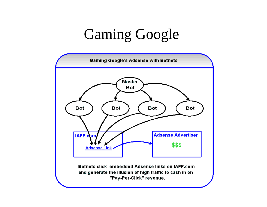## Gaming Google

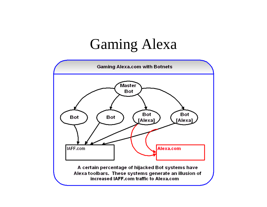## Gaming Alexa

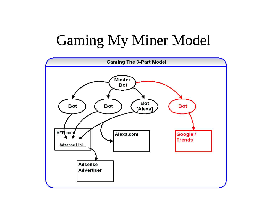# Gaming My Miner Model

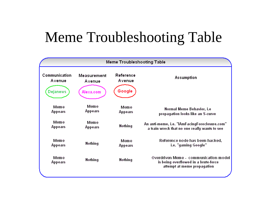## Meme Troubleshooting Table

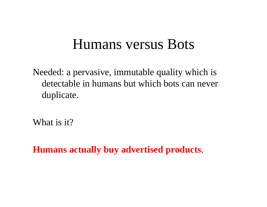#### Humans versus Bots

Needed: a pervasive, immutable quality which is detectable in humans but which bots can never duplicate.

What is it?

**Humans actually buy advertised products**.